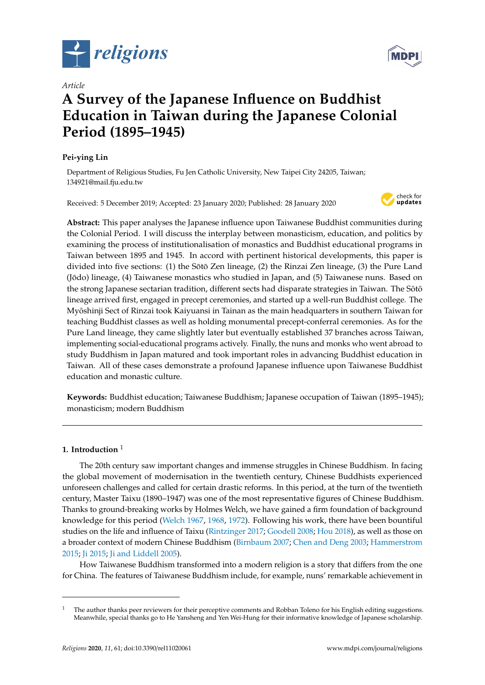

*Article*

# **A Survey of the Japanese Influence on Buddhist Education in Taiwan during the Japanese Colonial Period (1895–1945)**

# **Pei-ying Lin**

Department of Religious Studies, Fu Jen Catholic University, New Taipei City 24205, Taiwan; 134921@mail.fju.edu.tw

Received: 5 December 2019; Accepted: 23 January 2020; Published: 28 January 2020



**Abstract:** This paper analyses the Japanese influence upon Taiwanese Buddhist communities during the Colonial Period. I will discuss the interplay between monasticism, education, and politics by examining the process of institutionalisation of monastics and Buddhist educational programs in Taiwan between 1895 and 1945. In accord with pertinent historical developments, this paper is divided into five sections: (1) the Sōtō Zen lineage, (2) the Rinzai Zen lineage, (3) the Pure Land (Jodo) lineage, (4) Taiwanese monastics who studied in Japan, and (5) Taiwanese nuns. Based on ¯ the strong Japanese sectarian tradition, different sects had disparate strategies in Taiwan. The Sōtō lineage arrived first, engaged in precept ceremonies, and started up a well-run Buddhist college. The Myoshinji Sect of Rinzai took Kaiyuansi in Tainan as the main headquarters in southern Taiwan for ¯ teaching Buddhist classes as well as holding monumental precept-conferral ceremonies. As for the Pure Land lineage, they came slightly later but eventually established 37 branches across Taiwan, implementing social-educational programs actively. Finally, the nuns and monks who went abroad to study Buddhism in Japan matured and took important roles in advancing Buddhist education in Taiwan. All of these cases demonstrate a profound Japanese influence upon Taiwanese Buddhist education and monastic culture.

**Keywords:** Buddhist education; Taiwanese Buddhism; Japanese occupation of Taiwan (1895–1945); monasticism; modern Buddhism

## **1. Introduction** <sup>1</sup>

The 20th century saw important changes and immense struggles in Chinese Buddhism. In facing the global movement of modernisation in the twentieth century, Chinese Buddhists experienced unforeseen challenges and called for certain drastic reforms. In this period, at the turn of the twentieth century, Master Taixu (1890–1947) was one of the most representative figures of Chinese Buddhism. Thanks to ground-breaking works by Holmes Welch, we have gained a firm foundation of background knowledge for this period [\(Welch](#page-14-0) [1967,](#page-14-0) [1968,](#page-14-1) [1972\)](#page-14-2). Following his work, there have been bountiful studies on the life and influence of Taixu [\(Rintzinger](#page-14-3) [2017;](#page-14-3) [Goodell](#page-12-0) [2008;](#page-12-0) [Hou](#page-13-0) [2018\)](#page-13-0), as well as those on a broader context of modern Chinese Buddhism [\(Birnbaum](#page-12-1) [2007;](#page-12-1) [Chen and Deng](#page-12-2) [2003;](#page-12-2) [Hammerstrom](#page-13-1) [2015;](#page-13-1) [Ji](#page-13-2) [2015;](#page-13-2) [Ji and Liddell](#page-13-3) [2005\)](#page-13-3).

How Taiwanese Buddhism transformed into a modern religion is a story that differs from the one for China. The features of Taiwanese Buddhism include, for example, nuns' remarkable achievement in



 $1$  The author thanks peer reviewers for their perceptive comments and Robban Toleno for his English editing suggestions. Meanwhile, special thanks go to He Yansheng and Yen Wei-Hung for their informative knowledge of Japanese scholarship.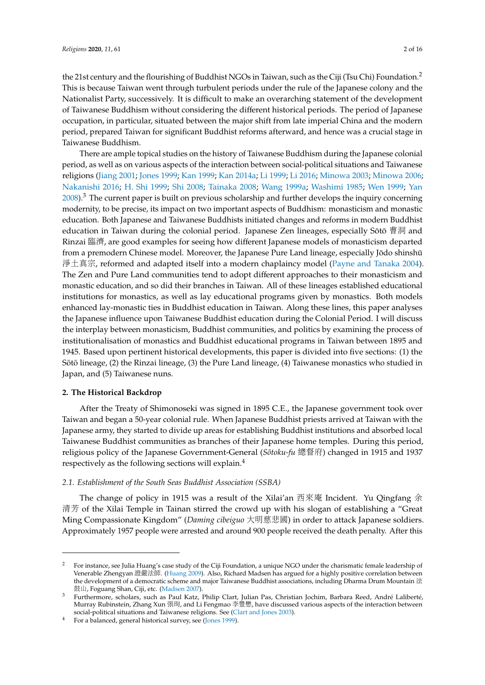the 21st century and the flourishing of Buddhist NGOs in Taiwan, such as the Ciji (Tsu Chi) Foundation.<sup>2</sup> This is because Taiwan went through turbulent periods under the rule of the Japanese colony and the Nationalist Party, successively. It is difficult to make an overarching statement of the development of Taiwanese Buddhism without considering the different historical periods. The period of Japanese occupation, in particular, situated between the major shift from late imperial China and the modern period, prepared Taiwan for significant Buddhist reforms afterward, and hence was a crucial stage in Taiwanese Buddhism.

There are ample topical studies on the history of Taiwanese Buddhism during the Japanese colonial period, as well as on various aspects of the interaction between social-political situations and Taiwanese religions [\(Jiang](#page-13-4) [2001;](#page-13-4) [Jones](#page-13-5) [1999;](#page-13-5) [Kan](#page-13-6) [1999;](#page-13-6) [Kan](#page-13-7) [2014a;](#page-13-7) [Li](#page-13-8) [1999;](#page-13-8) [Li](#page-13-9) [2016;](#page-13-9) [Minowa](#page-13-10) [2003;](#page-13-10) [Minowa](#page-13-11) [2006;](#page-13-11) [Nakanishi](#page-13-12) [2016;](#page-13-12) [H. Shi](#page-14-4) [1999;](#page-14-4) [Shi](#page-14-5) [2008;](#page-14-5) [Tainaka](#page-14-6) [2008;](#page-14-6) [Wang](#page-14-7) [1999a;](#page-14-7) [Washimi](#page-14-8) [1985;](#page-14-8) [Wen](#page-14-9) [1999;](#page-14-9) [Yan](#page-14-10) [2008\)](#page-14-10).<sup>3</sup> The current paper is built on previous scholarship and further develops the inquiry concerning modernity, to be precise, its impact on two important aspects of Buddhism: monasticism and monastic education. Both Japanese and Taiwanese Buddhists initiated changes and reforms in modern Buddhist education in Taiwan during the colonial period. Japanese Zen lineages, especially Sōtō 曹洞 and Rinzai 臨濟, are good examples for seeing how different Japanese models of monasticism departed from a premodern Chinese model. Moreover, the Japanese Pure Land lineage, especially Jōdo shinshū 淨土真宗, reformed and adapted itself into a modern chaplaincy model [\(Payne and Tanaka](#page-14-11) [2004\)](#page-14-11). The Zen and Pure Land communities tend to adopt different approaches to their monasticism and monastic education, and so did their branches in Taiwan. All of these lineages established educational institutions for monastics, as well as lay educational programs given by monastics. Both models enhanced lay-monastic ties in Buddhist education in Taiwan. Along these lines, this paper analyses the Japanese influence upon Taiwanese Buddhist education during the Colonial Period. I will discuss the interplay between monasticism, Buddhist communities, and politics by examining the process of institutionalisation of monastics and Buddhist educational programs in Taiwan between 1895 and 1945. Based upon pertinent historical developments, this paper is divided into five sections: (1) the Sōtō lineage,  $(2)$  the Rinzai lineage,  $(3)$  the Pure Land lineage,  $(4)$  Taiwanese monastics who studied in Japan, and (5) Taiwanese nuns.

#### **2. The Historical Backdrop**

After the Treaty of Shimonoseki was signed in 1895 C.E., the Japanese government took over Taiwan and began a 50-year colonial rule. When Japanese Buddhist priests arrived at Taiwan with the Japanese army, they started to divide up areas for establishing Buddhist institutions and absorbed local Taiwanese Buddhist communities as branches of their Japanese home temples. During this period, religious policy of the Japanese Government-General (*Sotoku-fu ¯* 總督府) changed in 1915 and 1937 respectively as the following sections will explain.<sup>4</sup>

#### *2.1. Establishment of the South Seas Buddhist Association (SSBA)*

The change of policy in 1915 was a result of the Xilai'an 西來<sup>庵</sup> Incident. Yu Qingfang 余 清芳 of the Xilai Temple in Tainan stirred the crowd up with his slogan of establishing a "Great Ming Compassionate Kingdom" (*Daming cibeiguo* 大明慈悲國) in order to attack Japanese soldiers. Approximately 1957 people were arrested and around 900 people received the death penalty. After this

<sup>2</sup> For instance, see Julia Huang's case study of the Ciji Foundation, a unique NGO under the charismatic female leadership of Venerable Zhengyan 證嚴法師. [\(Huang](#page-13-13) [2009\)](#page-13-13). Also, Richard Madsen has argued for a highly positive correlation between the development of a democratic scheme and major Taiwanese Buddhist associations, including Dharma Drum Mountain 法 鼓山, Foguang Shan, Ciji, etc. [\(Madsen](#page-13-14) [2007\)](#page-13-14).

<sup>3</sup> Furthermore, scholars, such as Paul Katz, Philip Clart, Julian Pas, Christian Jochim, Barbara Reed, André Laliberté, Murray Rubinstein, Zhang Xun 張珣, and Li Fengmao 李豐懋, have discussed various aspects of the interaction between social-political situations and Taiwanese religions. See [\(Clart and Jones](#page-12-3) [2003\)](#page-12-3).

<sup>4</sup> For a balanced, general historical survey, see [\(Jones](#page-13-5) [1999\)](#page-13-5).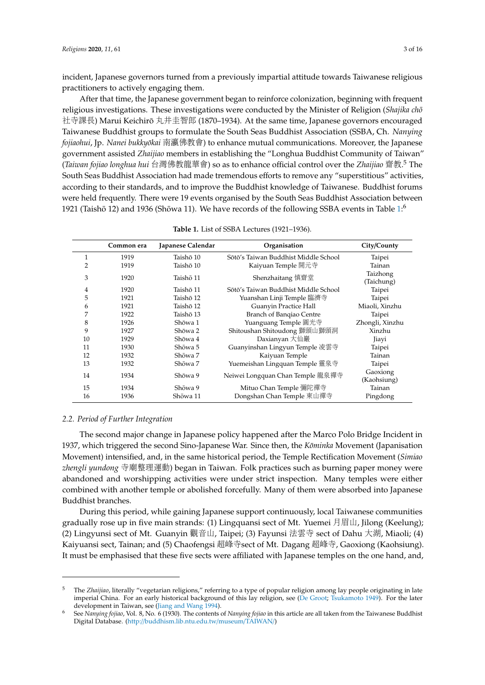incident, Japanese governors turned from a previously impartial attitude towards Taiwanese religious practitioners to actively engaging them.

After that time, the Japanese government began to reinforce colonization, beginning with frequent religious investigations. These investigations were conducted by the Minister of Religion (*Shajika cho¯* 社寺課長) Marui Keichirō 丸井圭智郎 (1870–1934). At the same time, Japanese governors encouraged Taiwanese Buddhist groups to formulate the South Seas Buddhist Association (SSBA, Ch. *Nanying fojiaohui*, Jp. *Nanei bukkyokai ¯* 南瀛佛教會) to enhance mutual communications. Moreover, the Japanese government assisted *Zhaijiao* members in establishing the "Longhua Buddhist Community of Taiwan" (*Taiwan fojiao longhua hui* 台灣佛教龍華會) so as to enhance official control over the *Zhaijiao* 齋教. <sup>5</sup> The South Seas Buddhist Association had made tremendous efforts to remove any "superstitious" activities, according to their standards, and to improve the Buddhist knowledge of Taiwanese. Buddhist forums were held frequently. There were 19 events organised by the South Seas Buddhist Association between 1921 (Taishō 12) and 1936 (Shōwa 11). We have records of the following SSBA events in Table  $1.6$ 

<span id="page-2-0"></span>

|    | Common era | Japanese Calendar | Organisation                         | City/County             |
|----|------------|-------------------|--------------------------------------|-------------------------|
| 1  | 1919       | Taishō 10         | Sōtō's Taiwan Buddhist Middle School | Taipei                  |
| 2  | 1919       | Taishō 10         | Kaiyuan Temple 開元寺                   | Tainan                  |
| 3  | 1920       | Taishō 11         | Shenzhaitang 慎齋堂                     | Taizhong<br>(Taichung)  |
| 4  | 1920       | Taishō 11         | Sōtō's Taiwan Buddhist Middle School | Taipei                  |
| 5  | 1921       | Taishō 12         | Yuanshan Linji Temple 臨濟寺            | Taipei                  |
| 6  | 1921       | Taishō 12         | Guanyin Practice Hall                | Miaoli, Xinzhu          |
| 7  | 1922       | Taishō 13         | Branch of Bangiao Centre             | Taipei                  |
| 8  | 1926       | Shōwa 1           | Yuanguang Temple 圓光寺                 | Zhongli, Xinzhu         |
| 9  | 1927       | Shōwa 2           | Shitoushan Shitoudong 獅頭山獅頭洞         | Xinzhu                  |
| 10 | 1929       | Shōwa 4           | Daxianyan 大仙巖                        | Jiayi                   |
| 11 | 1930       | Shōwa 5           | Guanyinshan Lingyun Temple 凌雲寺       | Taipei                  |
| 12 | 1932       | Shōwa 7           | Kaiyuan Temple                       | Tainan                  |
| 13 | 1932       | Shōwa 7           | Yuemeishan Lingquan Temple 靈泉寺       | Taipei                  |
| 14 | 1934       | Shōwa 9           | Neiwei Longquan Chan Temple 龍泉禪寺     | Gaoxiong<br>(Kaohsiung) |
| 15 | 1934       | Shōwa 9           | Mituo Chan Temple 彌陀禪寺               | Tainan                  |
| 16 | 1936       | Shōwa 11          | Dongshan Chan Temple 東山禪寺            | Pingdong                |

|  | Table 1. List of SSBA Lectures (1921–1936). |  |
|--|---------------------------------------------|--|
|--|---------------------------------------------|--|

#### *2.2. Period of Further Integration*

The second major change in Japanese policy happened after the Marco Polo Bridge Incident in 1937, which triggered the second Sino-Japanese War. Since then, the *Kominka* Movement (Japanisation Movement) intensified, and, in the same historical period, the Temple Rectification Movement (*Simiao zhengli yundong* <sup>寺</sup>廟整理運動) began in Taiwan. Folk practices such as burning paper money were abandoned and worshipping activities were under strict inspection. Many temples were either combined with another temple or abolished forcefully. Many of them were absorbed into Japanese Buddhist branches.

During this period, while gaining Japanese support continuously, local Taiwanese communities gradually rose up in five main strands: (1) Lingquansi sect of Mt. Yuemei 月眉山, Jilong (Keelung); (2) Lingyunsi sect of Mt. Guanyin 觀音山, Taipei; (3) Fayunsi <sup>法</sup>雲<sup>寺</sup> sect of Dahu 大湖, Miaoli; (4) Kaiyuansi sect, Tainan; and (5) Chaofengsi 超峰寺sect of Mt. Dagang 超峰寺, Gaoxiong (Kaohsiung). It must be emphasised that these five sects were affiliated with Japanese temples on the one hand, and,

<sup>5</sup> The *Zhaijiao*, literally "vegetarian religions," referring to a type of popular religion among lay people originating in late imperial China. For an early historical background of this lay religion, see [\(De Groot;](#page-13-15) [Tsukamoto](#page-14-12) [1949\)](#page-14-12). For the later development in Taiwan, see [\(Jiang and Wang](#page-13-16) [1994\)](#page-13-16).

<sup>6</sup> See *Nanying fojiao*, Vol. 8, No. 6 (1930). The contents of *Nanying fojiao* in this article are all taken from the Taiwanese Buddhist Digital Database. (http://[buddhism.lib.ntu.edu.tw](http://buddhism.lib.ntu.edu.tw/museum/TAIWAN/)/museum/TAIWAN/)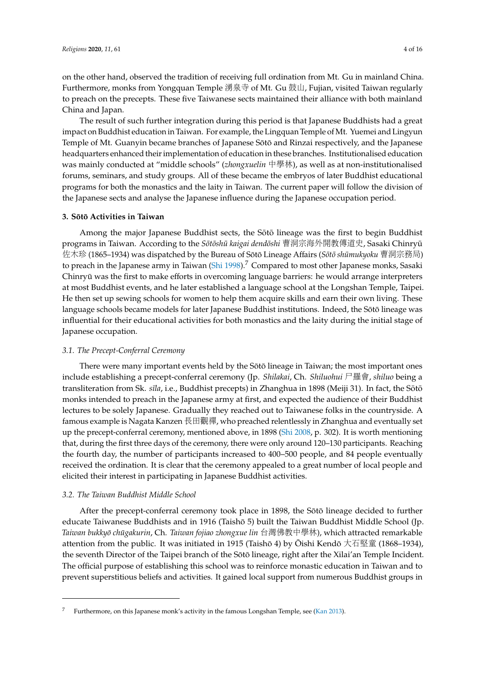on the other hand, observed the tradition of receiving full ordination from Mt. Gu in mainland China. Furthermore, monks from Yongquan Temple <sup>湧</sup>泉<sup>寺</sup> of Mt. Gu 鼓山, Fujian, visited Taiwan regularly to preach on the precepts. These five Taiwanese sects maintained their alliance with both mainland China and Japan.

The result of such further integration during this period is that Japanese Buddhists had a great impact on Buddhist education in Taiwan. For example, the Lingquan Temple of Mt. Yuemei and Lingyun Temple of Mt. Guanyin became branches of Japanese Sōtō and Rinzai respectively, and the Japanese headquarters enhanced their implementation of education in these branches. Institutionalised education was mainly conducted at "middle schools" (*zhongxuelin* <sup>中</sup>學林), as well as at non-institutionalised forums, seminars, and study groups. All of these became the embryos of later Buddhist educational programs for both the monastics and the laity in Taiwan. The current paper will follow the division of the Japanese sects and analyse the Japanese influence during the Japanese occupation period.

#### **3. Sot¯ o Activities in Taiwan ¯**

Among the major Japanese Buddhist sects, the Sōtō lineage was the first to begin Buddhist programs in Taiwan. According to the *Sōtōshū kaigai dendōshi* 曹洞宗海外開教傳道史, Sasaki Chinryū 位木珍 (1865–1934) was dispatched by the Bureau of Sōtō Lineage Affairs (*Sōtō shūmukyoku* 曹洞宗務局) to preach in the Japanese army in Taiwan [\(Shi](#page-14-13) [1998\)](#page-14-13).<sup>7</sup> Compared to most other Japanese monks, Sasaki Chinryū was the first to make efforts in overcoming language barriers: he would arrange interpreters at most Buddhist events, and he later established a language school at the Longshan Temple, Taipei. He then set up sewing schools for women to help them acquire skills and earn their own living. These language schools became models for later Japanese Buddhist institutions. Indeed, the Sōtō lineage was influential for their educational activities for both monastics and the laity during the initial stage of Japanese occupation.

## *3.1. The Precept-Conferral Ceremony*

There were many important events held by the Sōtō lineage in Taiwan; the most important ones include establishing a precept-conferral ceremony (Jp. *Shilakai*, Ch. *Shiluohui* <sup>尸</sup>羅會, *shiluo* being a transliteration from Sk. *sīla*, i.e., Buddhist precepts) in Zhanghua in 1898 (Meiji 31). In fact, the Sōtō monks intended to preach in the Japanese army at first, and expected the audience of their Buddhist lectures to be solely Japanese. Gradually they reached out to Taiwanese folks in the countryside. A famous example is Nagata Kanzen <sup>長</sup>田觀禪, who preached relentlessly in Zhanghua and eventually set up the precept-conferral ceremony, mentioned above, in 1898 [\(Shi](#page-14-5) [2008,](#page-14-5) p. 302). It is worth mentioning that, during the first three days of the ceremony, there were only around 120–130 participants. Reaching the fourth day, the number of participants increased to 400–500 people, and 84 people eventually received the ordination. It is clear that the ceremony appealed to a great number of local people and elicited their interest in participating in Japanese Buddhist activities.

## *3.2. The Taiwan Buddhist Middle School*

After the precept-conferral ceremony took place in 1898, the Sōtō lineage decided to further educate Taiwanese Buddhists and in 1916 (Taishō 5) built the Taiwan Buddhist Middle School (Jp. *Taiwan bukkyō chūgakurin,* Ch. *Taiwan fojiao zhongxue lin* 台灣佛教中學林), which attracted remarkable attention from the public. It was initiated in 1915 (Taishō 4) by  $\bar{O}$ ishi Kendō 大石堅童 (1868–1934), the seventh Director of the Taipei branch of the Sōtō lineage, right after the Xilai'an Temple Incident. The official purpose of establishing this school was to reinforce monastic education in Taiwan and to prevent superstitious beliefs and activities. It gained local support from numerous Buddhist groups in

Furthermore, on this Japanese monk's activity in the famous Longshan Temple, see [\(Kan](#page-13-17) [2013\)](#page-13-17).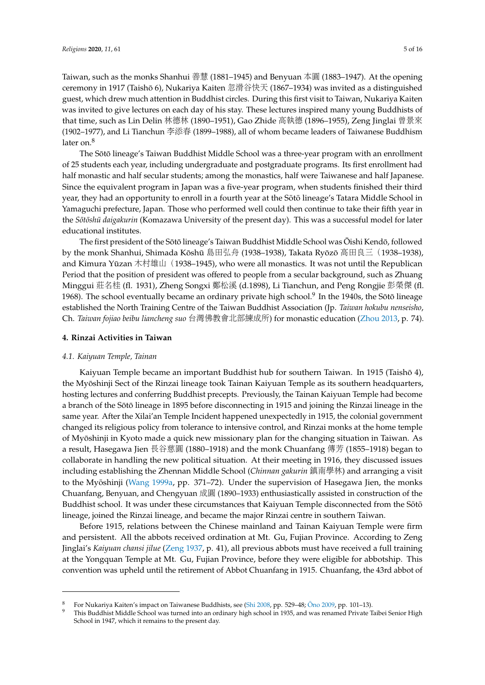Taiwan, such as the monks Shanhui <sup>善</sup><sup>慧</sup> (1881–1945) and Benyuan 本<sup>圓</sup> (1883–1947). At the opening ceremony in 1917 (Taishō 6), Nukariya Kaiten 忽滑谷快天 (1867–1934) was invited as a distinguished guest, which drew much attention in Buddhist circles. During this first visit to Taiwan, Nukariya Kaiten was invited to give lectures on each day of his stay. These lectures inspired many young Buddhists of that time, such as Lin Delin 林德林 (1890–1951), Gao Zhide <sup>高</sup>執德 (1896–1955), Zeng Jinglai 曾景來 (1902–1977), and Li Tianchun 李添<sup>春</sup> (1899–1988), all of whom became leaders of Taiwanese Buddhism later on.<sup>8</sup>

The Sōtō lineage's Taiwan Buddhist Middle School was a three-year program with an enrollment of 25 students each year, including undergraduate and postgraduate programs. Its first enrollment had half monastic and half secular students; among the monastics, half were Taiwanese and half Japanese. Since the equivalent program in Japan was a five-year program, when students finished their third year, they had an opportunity to enroll in a fourth year at the Sotō lineage's Tatara Middle School in Yamaguchi prefecture, Japan. Those who performed well could then continue to take their fifth year in the *Sōtōshū daigakurin* (Komazawa University of the present day). This was a successful model for later educational institutes.

The first president of the Sōtō lineage's Taiwan Buddhist Middle School was Ōishi Kendō, followed by the monk Shanhui, Shimada Kōshū 島田弘舟 (1938–1938), Takata Ryōzō 高田良三 (1938–1938), and Kimura Yūzan 木村雄山 (1938–1945), who were all monastics. It was not until the Republican Period that the position of president was offered to people from a secular background, such as Zhuang Minggui <sup>莊</sup>名桂 (fl. 1931), Zheng Songxi <sup>鄭</sup>松<sup>溪</sup> (d.1898), Li Tianchun, and Peng Rongjie 彭榮<sup>傑</sup> (fl. 1968). The school eventually became an ordinary private high school.<sup>9</sup> In the 1940s, the Sōtō lineage established the North Training Centre of the Taiwan Buddhist Association (Jp. *Taiwan hokubu nenseisho*, Ch. *Taiwan fojiao beibu liancheng suo* 台灣佛教會北部練成所) for monastic education [\(Zhou](#page-15-0) [2013,](#page-15-0) p. 74).

#### **4. Rinzai Activities in Taiwan**

#### *4.1. Kaiyuan Temple, Tainan*

Kaiyuan Temple became an important Buddhist hub for southern Taiwan. In 1915 (Taishō 4), the Myōshinji Sect of the Rinzai lineage took Tainan Kaiyuan Temple as its southern headquarters, hosting lectures and conferring Buddhist precepts. Previously, the Tainan Kaiyuan Temple had become a branch of the Sōtō lineage in 1895 before disconnecting in 1915 and joining the Rinzai lineage in the same year. After the Xilai'an Temple Incident happened unexpectedly in 1915, the colonial government changed its religious policy from tolerance to intensive control, and Rinzai monks at the home temple of Myoshinji in Kyoto made a quick new missionary plan for the changing situation in Taiwan. As ¯ a result, Hasegawa Jien 長谷慈圓 (1880–1918) and the monk Chuanfang 傳芳 (1855–1918) began to collaborate in handling the new political situation. At their meeting in 1916, they discussed issues including establishing the Zhennan Middle School (*Chinnan gakurin* 鎮南學林) and arranging a visit to the Myōshinji ([Wang](#page-14-7) [1999a,](#page-14-7) pp. 371–72). Under the supervision of Hasegawa Jien, the monks Chuanfang, Benyuan, and Chengyuan 成<sup>圓</sup> (1890–1933) enthusiastically assisted in construction of the Buddhist school. It was under these circumstances that Kaiyuan Temple disconnected from the Sōtō lineage, joined the Rinzai lineage, and became the major Rinzai centre in southern Taiwan.

Before 1915, relations between the Chinese mainland and Tainan Kaiyuan Temple were firm and persistent. All the abbots received ordination at Mt. Gu, Fujian Province. According to Zeng Jinglai's *Kaiyuan chansi jilue* [\(Zeng](#page-14-14) [1937,](#page-14-14) p. 41), all previous abbots must have received a full training at the Yongquan Temple at Mt. Gu, Fujian Province, before they were eligible for abbotship. This convention was upheld until the retirement of Abbot Chuanfang in 1915. Chuanfang, the 43rd abbot of

For Nukariya Kaiten's impact on Taiwanese Buddhists, see [\(Shi](#page-14-5) [2008,](#page-14-5) pp. 529-48; Ōno [2009,](#page-14-15) pp. 101-13).

<sup>9</sup> This Buddhist Middle School was turned into an ordinary high school in 1935, and was renamed Private Taibei Senior High School in 1947, which it remains to the present day.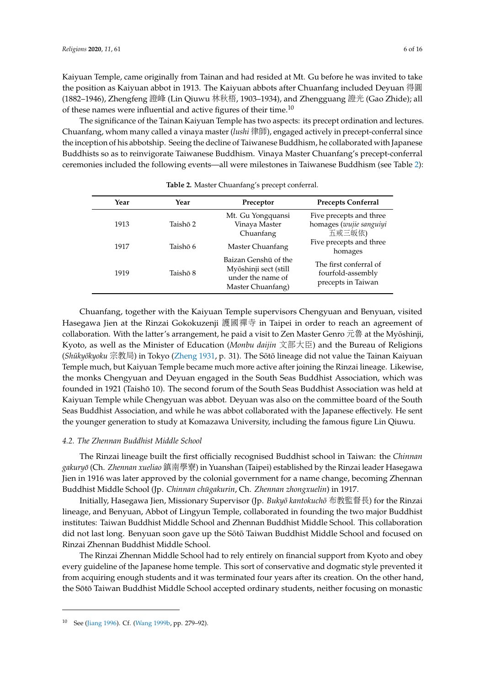Kaiyuan Temple, came originally from Tainan and had resided at Mt. Gu before he was invited to take the position as Kaiyuan abbot in 1913. The Kaiyuan abbots after Chuanfang included Deyuan 得圓 (1882–1946), Zhengfeng <sup>證</sup><sup>峰</sup> (Lin Qiuwu 林秋梧, 1903–1934), and Zhengguang <sup>證</sup><sup>光</sup> (Gao Zhide); all of these names were influential and active figures of their time. $10$ 

The significance of the Tainan Kaiyuan Temple has two aspects: its precept ordination and lectures. Chuanfang, whom many called a vinaya master (*lushi* 律師), engaged actively in precept-conferral since the inception of his abbotship. Seeing the decline of Taiwanese Buddhism, he collaborated with Japanese Buddhists so as to reinvigorate Taiwanese Buddhism. Vinaya Master Chuanfang's precept-conferral ceremonies included the following events—all were milestones in Taiwanese Buddhism (see Table [2\)](#page-5-0):

<span id="page-5-0"></span>

| Year | Year     | Preceptor                                                                               | <b>Precepts Conferral</b>                                         |
|------|----------|-----------------------------------------------------------------------------------------|-------------------------------------------------------------------|
| 1913 | Taishō 2 | Mt. Gu Yongquansi<br>Vinaya Master<br>Chuanfang                                         | Five precepts and three<br>homages (wujie sanguiyi<br>五戒三皈依)      |
| 1917 | Taishō 6 | Master Chuanfang                                                                        | Five precepts and three<br>homages                                |
| 1919 | Taishō 8 | Baizan Genshū of the<br>Myōshinji sect (still<br>under the name of<br>Master Chuanfang) | The first conferral of<br>fourfold-assembly<br>precepts in Taiwan |

| Table 2. Master Chuanfang's precept conferral. |  |
|------------------------------------------------|--|
|------------------------------------------------|--|

Chuanfang, together with the Kaiyuan Temple supervisors Chengyuan and Benyuan, visited Hasegawa Jien at the Rinzai Gokokuzenji 護國禪寺 in Taipei in order to reach an agreement of collaboration. With the latter's arrangement, he paid a visit to Zen Master Genro 元魯 at the Myōshinji, Kyoto, as well as the Minister of Education (*Monbu daijin* <sup>文</sup>部大臣) and the Bureau of Religions (*Shūkyōkyoku* 宗教局) in Tokyo [\(Zheng](#page-15-1) [1931,](#page-15-1) p. 31). The Sōtō lineage did not value the Tainan Kaiyuan Temple much, but Kaiyuan Temple became much more active after joining the Rinzai lineage. Likewise, the monks Chengyuan and Deyuan engaged in the South Seas Buddhist Association, which was founded in 1921 (Taishō 10). The second forum of the South Seas Buddhist Association was held at Kaiyuan Temple while Chengyuan was abbot. Deyuan was also on the committee board of the South Seas Buddhist Association, and while he was abbot collaborated with the Japanese effectively. He sent the younger generation to study at Komazawa University, including the famous figure Lin Qiuwu.

#### *4.2. The Zhennan Buddhist Middle School*

The Rinzai lineage built the first officially recognised Buddhist school in Taiwan: the *Chinnan gakuryo¯* (Ch. *Zhennan xueliao* 鎮南學寮) in Yuanshan (Taipei) established by the Rinzai leader Hasegawa Jien in 1916 was later approved by the colonial government for a name change, becoming Zhennan Buddhist Middle School (Jp. *Chinnan chūgakurin*, Ch. *Zhennan zhongxuelin*) in 1917.

Initially, Hasegawa Jien, Missionary Supervisor (Jp. *Bukyō kantokuchō* 布教監督長) for the Rinzai lineage, and Benyuan, Abbot of Lingyun Temple, collaborated in founding the two major Buddhist institutes: Taiwan Buddhist Middle School and Zhennan Buddhist Middle School. This collaboration did not last long. Benyuan soon gave up the Sōtō Taiwan Buddhist Middle School and focused on Rinzai Zhennan Buddhist Middle School.

The Rinzai Zhennan Middle School had to rely entirely on financial support from Kyoto and obey every guideline of the Japanese home temple. This sort of conservative and dogmatic style prevented it from acquiring enough students and it was terminated four years after its creation. On the other hand, the Sōtō Taiwan Buddhist Middle School accepted ordinary students, neither focusing on monastic

<sup>10</sup> See [\(Jiang](#page-13-18) [1996\)](#page-13-18). Cf. [\(Wang](#page-14-16) [1999b,](#page-14-16) pp. 279–92).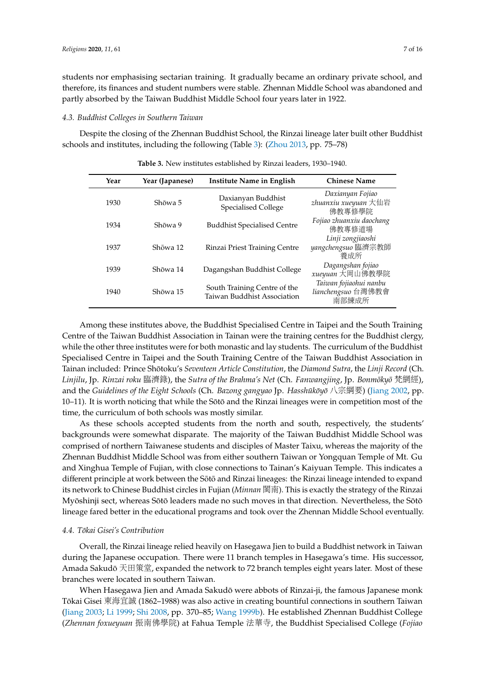students nor emphasising sectarian training. It gradually became an ordinary private school, and therefore, its finances and student numbers were stable. Zhennan Middle School was abandoned and partly absorbed by the Taiwan Buddhist Middle School four years later in 1922.

#### *4.3. Buddhist Colleges in Southern Taiwan*

<span id="page-6-0"></span>Despite the closing of the Zhennan Buddhist School, the Rinzai lineage later built other Buddhist schools and institutes, including the following (Table [3\)](#page-6-0): [\(Zhou](#page-15-0) [2013,](#page-15-0) pp. 75–78)

| Year | Year (Japanese) | Institute Name in English                                   | <b>Chinese Name</b>                                   |
|------|-----------------|-------------------------------------------------------------|-------------------------------------------------------|
| 1930 | Shōwa 5         | Daxianyan Buddhist<br><b>Specialised College</b>            | Daxianyan Fojiao<br>zhuanxiu xueyuan 大仙岩<br>佛教專修學院    |
| 1934 | Shōwa 9         | <b>Buddhist Specialised Centre</b>                          | Fojiao zhuanxiu daochang<br>佛教專修道場                    |
| 1937 | Shōwa 12        | Rinzai Priest Training Centre                               | Linji zongjiaoshi<br>yangchengsuo 臨濟宗教師<br>養成所        |
| 1939 | Shōwa 14        | Dagangshan Buddhist College                                 | Dagangshan fojiao<br>xueyuan 大岡山佛教學院                  |
| 1940 | Shōwa 15        | South Training Centre of the<br>Taiwan Buddhist Association | Taiwan fojiaohui nanbu<br>lianchengsuo 台灣佛教會<br>南部練成所 |
|      |                 |                                                             |                                                       |

**Table 3.** New institutes established by Rinzai leaders, 1930–1940.

Among these institutes above, the Buddhist Specialised Centre in Taipei and the South Training Centre of the Taiwan Buddhist Association in Tainan were the training centres for the Buddhist clergy, while the other three institutes were for both monastic and lay students. The curriculum of the Buddhist Specialised Centre in Taipei and the South Training Centre of the Taiwan Buddhist Association in Tainan included: Prince Shotoku's ¯ *Seventeen Article Constitution*, the *Diamond Sutra*, the *Linji Record* (Ch. *Linjilu*, Jp. *Rinzai roku* 臨濟錄), the *Sutra of the Brahma's Net* (Ch. *Fanwangjing*, Jp. *Bonmoky ¯ o¯* 梵網經), and the *Guidelines of the Eight Schools* (Ch. *Bazong gangyao* Jp. *Hasshūkōyō* 八宗綱要) [\(Jiang](#page-13-19) [2002,](#page-13-19) pp. 10–11). It is worth noticing that while the Sōtō and the Rinzai lineages were in competition most of the time, the curriculum of both schools was mostly similar.

As these schools accepted students from the north and south, respectively, the students' backgrounds were somewhat disparate. The majority of the Taiwan Buddhist Middle School was comprised of northern Taiwanese students and disciples of Master Taixu, whereas the majority of the Zhennan Buddhist Middle School was from either southern Taiwan or Yongquan Temple of Mt. Gu and Xinghua Temple of Fujian, with close connections to Tainan's Kaiyuan Temple. This indicates a different principle at work between the Sōtō and Rinzai lineages: the Rinzai lineage intended to expand its network to Chinese Buddhist circles in Fujian (*Minnan* <sup>閩</sup>南). This is exactly the strategy of the Rinzai Myōshinji sect, whereas Sōtō leaders made no such moves in that direction. Nevertheless, the Sōtō lineage fared better in the educational programs and took over the Zhennan Middle School eventually.

#### *4.4. Tokai Gisei's Contribution ¯*

Overall, the Rinzai lineage relied heavily on Hasegawa Jien to build a Buddhist network in Taiwan during the Japanese occupation. There were 11 branch temples in Hasegawa's time. His successor, Amada Sakudō 天田策堂, expanded the network to 72 branch temples eight years later. Most of these branches were located in southern Taiwan.

When Hasegawa Jien and Amada Sakudō were abbots of Rinzai-ji, the famous Japanese monk Tōkai Gisei 東海宜誠 (1862–1988) was also active in creating bountiful connections in southern Taiwan [\(Jiang](#page-13-20) [2003;](#page-13-20) [Li](#page-13-8) [1999;](#page-13-8) [Shi](#page-14-5) [2008,](#page-14-5) pp. 370–85; [Wang](#page-14-16) [1999b\)](#page-14-16). He established Zhennan Buddhist College (*Zhennan foxueyuan* <sup>振</sup>南佛學院) at Fahua Temple <sup>法</sup>華寺, the Buddhist Specialised College (*Fojiao*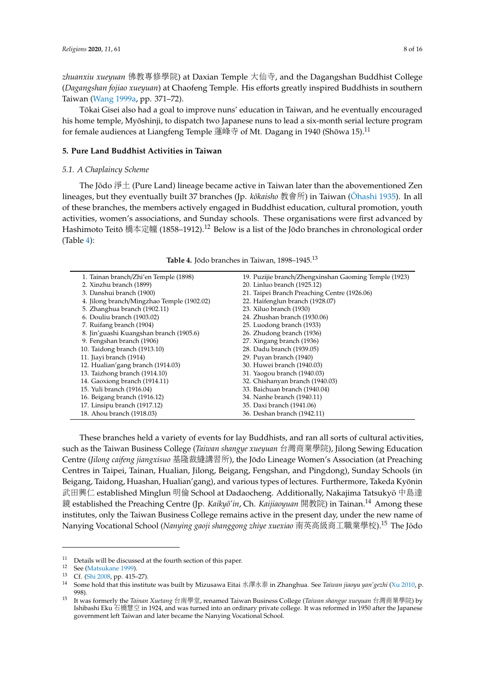*zhuanxiu xueyuan* 佛教專修學院) at Daxian Temple 大仙寺, and the Dagangshan Buddhist College (*Dagangshan fojiao xueyuan*) at Chaofeng Temple. His efforts greatly inspired Buddhists in southern Taiwan [\(Wang](#page-14-7) [1999a,](#page-14-7) pp. 371–72).

Tokai Gisei also had a goal to improve nuns' education in Taiwan, and he eventually encouraged ¯ his home temple, Myōshinji, to dispatch two Japanese nuns to lead a six-month serial lecture program for female audiences at Liangfeng Temple 蓮峰寺 of Mt. Dagang in 1940 (Shōwa 15). $^{11}$ 

#### **5. Pure Land Buddhist Activities in Taiwan**

#### *5.1. A Chaplaincy Scheme*

The Jōdo 淨土 (Pure Land) lineage became active in Taiwan later than the abovementioned Zen lineages, but they eventually built 37 branches (Jp. *kōkaisho* 教會所) in Taiwan (Ōhashi [1935\)](#page-14-17). In all of these branches, the members actively engaged in Buddhist education, cultural promotion, youth activities, women's associations, and Sunday schools. These organisations were first advanced by Hashimoto Teitō 橋本定幢 (1858–1912).<sup>12</sup> Below is a list of the Jōdo branches in chronological order (Table [4\)](#page-7-0):

**Table 4.** Jōdo branches in Taiwan, 1898–1945.<sup>13</sup>

<span id="page-7-0"></span>

| 1. Tainan branch/Zhi'en Temple (1898)      | 19. Puzijie branch/Zhengxinshan Gaoming Temple (1923) |  |  |
|--------------------------------------------|-------------------------------------------------------|--|--|
| 2. Xinzhu branch (1899)                    | 20. Linluo branch (1925.12)                           |  |  |
| 3. Danshui branch (1900)                   | 21. Taipei Branch Preaching Centre (1926.06)          |  |  |
| 4. Jilong branch/Mingzhao Temple (1902.02) | 22. Haifenglun branch (1928.07)                       |  |  |
| 5. Zhanghua branch (1902.11)               | 23. Xiluo branch (1930)                               |  |  |
| 6. Douliu branch (1903.02)                 | 24. Zhushan branch (1930.06)                          |  |  |
| 7. Ruifang branch (1904)                   | 25. Luodong branch (1933)                             |  |  |
| 8. Jin'guashi Kuangshan branch (1905.6)    | 26. Zhudong branch (1936)                             |  |  |
| 9. Fengshan branch (1906)                  | 27. Xingang branch (1936)                             |  |  |
| 10. Taidong branch (1913.10)               | 28. Dadu branch (1939.05)                             |  |  |
| 11. Jiayi branch (1914)                    | 29. Puyan branch (1940)                               |  |  |
| 12. Hualian'gang branch (1914.03)          | 30. Huwei branch (1940.03)                            |  |  |
| 13. Taizhong branch (1914.10)              | 31. Yaogou branch (1940.03)                           |  |  |
| 14. Gaoxiong branch (1914.11)              | 32. Chishanyan branch (1940.03)                       |  |  |
| 15. Yuli branch (1916.04)                  | 33. Baichuan branch (1940.04)                         |  |  |
| 16. Beigang branch (1916.12)               | 34. Nanhe branch (1940.11)                            |  |  |
| 17. Linsipu branch (1917.12)               | 35. Daxi branch (1941.06)                             |  |  |
| 18. Ahou branch (1918.03)                  | 36. Deshan branch (1942.11)                           |  |  |
|                                            |                                                       |  |  |

These branches held a variety of events for lay Buddhists, and ran all sorts of cultural activities, such as the Taiwan Business College (*Taiwan shangye xueyuan* 台灣商業學院), Jilong Sewing Education Centre (*Jilong caifeng jiangxisuo* <sup>基</sup>隆裁縫講習所), the Jodo Lineage Women's Association (at Preaching ¯ Centres in Taipei, Tainan, Hualian, Jilong, Beigang, Fengshan, and Pingdong), Sunday Schools (in Beigang, Taidong, Huashan, Hualian'gang), and various types of lectures. Furthermore, Takeda Kyonin ¯ 武田興<sup>仁</sup> established Minglun <sup>明</sup><sup>倫</sup> School at Dadaocheng. Additionally, Nakajima Tatsukyo¯ <sup>中</sup>島<sup>達</sup> 鏡 established the Preaching Centre (Jp. *Kaikyō'in*, Ch. *Kaijiaoyuan* 開教院) in Tainan.<sup>14</sup> Among these institutes, only the Taiwan Business College remains active in the present day, under the new name of Nanying Vocational School (*Nanying gaoji shanggong zhiye xuexiao* 南英高級商工職業學校).<sup>15</sup> The Jodo ¯

 $11$  Details will be discussed at the fourth section of this paper.

<sup>12</sup> See [\(Matsukane](#page-13-21) [1999\)](#page-13-21).<br>13  $C_f$  (Shi 2008 pp. 415–

Cf. [\(Shi](#page-14-5) [2008,](#page-14-5) pp. 415–27).

<sup>14</sup> Some hold that this institute was built by Mizusawa Eitai 水澤永泰 in Zhanghua. See *Taiwan jiaoyu yan'gezhi* [\(Xu](#page-14-18) [2010,](#page-14-18) p. 998).

<sup>15</sup> It was formerly the *Tainan Xuetang* 台南學堂, renamed Taiwan Business College (*Taiwan shangye xueyuan* 台灣商業學院) by Ishibashi Eku 石橋慧空 in 1924, and was turned into an ordinary private college. It was reformed in 1950 after the Japanese government left Taiwan and later became the Nanying Vocational School.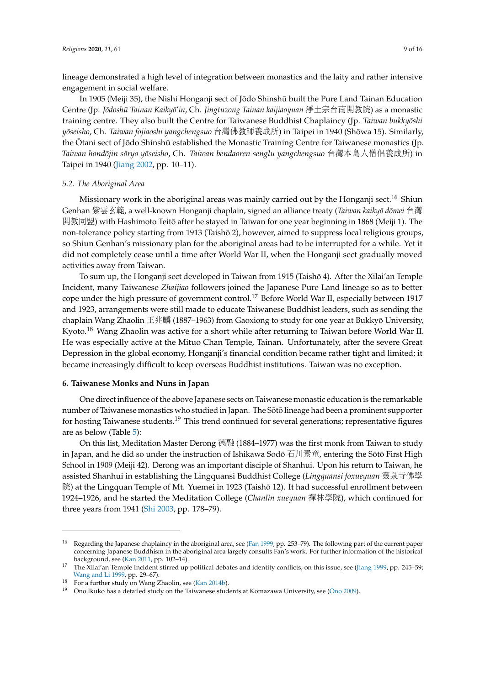lineage demonstrated a high level of integration between monastics and the laity and rather intensive engagement in social welfare.

In 1905 (Meiji 35), the Nishi Honganji sect of Jōdo Shinshū built the Pure Land Tainan Education Centre (Jp. *Jodosh ¯ u Tainan Kaiky ¯ o'in ¯* , Ch. *Jingtuzong Tainan kaijiaoyuan* <sup>淨</sup>土宗台南開教院) as a monastic training centre. They also built the Centre for Taiwanese Buddhist Chaplaincy (Jp. *Taiwan bukkyoshi ¯ yoseisho ¯* , Ch. *Taiwan fojiaoshi yangchengsuo* 台灣佛教師養成所) in Taipei in 1940 (Showa 15). Similarly, ¯ the Otani sect of Jōdo Shinshū established the Monastic Training Centre for Taiwanese monastics (Jp. *Taiwan hondojin s ¯ oryo y ¯ oseisho ¯* , Ch. *Taiwan bendaoren senglu yangchengsuo* 台灣本島人僧侶養成所) in Taipei in 1940 [\(Jiang](#page-13-19) [2002,](#page-13-19) pp. 10–11).

#### *5.2. The Aboriginal Area*

Missionary work in the aboriginal areas was mainly carried out by the Honganji sect.<sup>16</sup> Shiun Genhan 紫雲玄範, a well-known Honganji chaplain, signed an alliance treaty (*Taiwan kaikyō dōmei* 台灣 開教同盟) with Hashimoto Teitō after he stayed in Taiwan for one year beginning in 1868 (Meiji 1). The non-tolerance policy starting from 1913 (Taishō 2), however, aimed to suppress local religious groups, so Shiun Genhan's missionary plan for the aboriginal areas had to be interrupted for a while. Yet it did not completely cease until a time after World War II, when the Honganji sect gradually moved activities away from Taiwan.

To sum up, the Honganji sect developed in Taiwan from 1915 (Taisho 4). After the Xilai'an Temple ¯ Incident, many Taiwanese *Zhaijiao* followers joined the Japanese Pure Land lineage so as to better cope under the high pressure of government control.<sup>17</sup> Before World War II, especially between 1917 and 1923, arrangements were still made to educate Taiwanese Buddhist leaders, such as sending the chaplain Wang Zhaolin 王兆麟 (1887–1963) from Gaoxiong to study for one year at Bukkyō University, Kyoto.<sup>18</sup> Wang Zhaolin was active for a short while after returning to Taiwan before World War II. He was especially active at the Mituo Chan Temple, Tainan. Unfortunately, after the severe Great Depression in the global economy, Honganji's financial condition became rather tight and limited; it became increasingly difficult to keep overseas Buddhist institutions. Taiwan was no exception.

#### **6. Taiwanese Monks and Nuns in Japan**

One direct influence of the above Japanese sects on Taiwanese monastic education is the remarkable number of Taiwanese monastics who studied in Japan. The Sōtō lineage had been a prominent supporter for hosting Taiwanese students.<sup>19</sup> This trend continued for several generations; representative figures are as below (Table [5\)](#page-9-0):

On this list, Meditation Master Derong 德<sup>融</sup> (1884–1977) was the first monk from Taiwan to study in Japan, and he did so under the instruction of Ishikawa Sodō 石川素童, entering the Sōtō First High School in 1909 (Meiji 42). Derong was an important disciple of Shanhui. Upon his return to Taiwan, he assisted Shanhui in establishing the Lingquansi Buddhist College (*Lingquansi foxueyuan* <sup>靈</sup>泉寺佛<sup>學</sup> 院) at the Lingquan Temple of Mt. Yuemei in 1923 (Taishō 12). It had successful enrollment between 1924–1926, and he started the Meditation College (*Chanlin xueyuan* <sup>禪</sup>林學院), which continued for three years from 1941 [\(Shi](#page-14-19) [2003,](#page-14-19) pp. 178–79).

<sup>&</sup>lt;sup>16</sup> Regarding the Japanese chaplaincy in the aboriginal area, see [\(Fan](#page-12-4) [1999,](#page-12-4) pp. 253–79). The following part of the current paper concerning Japanese Buddhism in the aboriginal area largely consults Fan's work. For further information of the historical background, see [\(Kan](#page-13-22) [2011,](#page-13-22) pp. 102–14).

<sup>&</sup>lt;sup>17</sup> The Xilai'an Temple Incident stirred up political debates and identity conflicts; on this issue, see [\(Jiang](#page-13-23) [1999,](#page-13-23) pp. 245–59; [Wang and Li](#page-14-20) [1999,](#page-14-20) pp. 29–67).

<sup>&</sup>lt;sup>18</sup> For a further study on Wang Zhaolin, see [\(Kan](#page-13-24) [2014b\)](#page-13-24).

Ōno Ikuko has a detailed study on the Taiwanese students at Komazawa University, see (Ōno [2009\)](#page-14-15).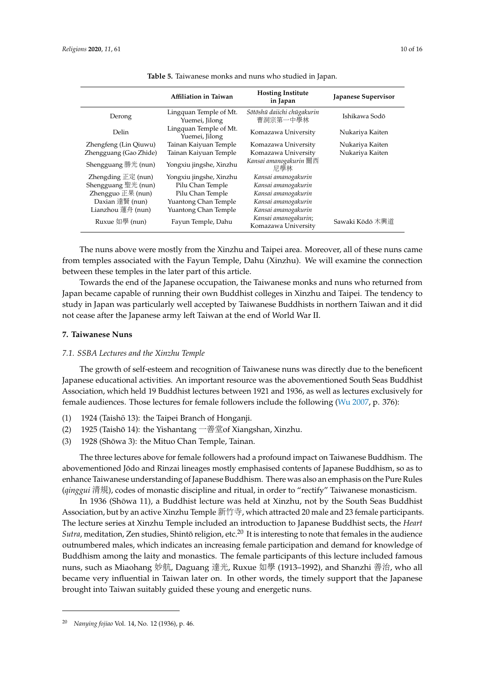<span id="page-9-0"></span>

|                        | Affiliation in Taiwan                    | <b>Hosting Institute</b><br>in Japan        | Japanese Supervisor |
|------------------------|------------------------------------------|---------------------------------------------|---------------------|
| Derong                 | Lingquan Temple of Mt.<br>Yuemei, Jilong | Sōtōshū daiichi chūgakurin<br>曹洞宗第一中學林      | Ishikawa Sodō       |
| Delin                  | Lingquan Temple of Mt.<br>Yuemei, Jilong | Komazawa University                         | Nukariya Kaiten     |
| Zhengfeng (Lin Qiuwu)  | Tainan Kaiyuan Temple                    | Komazawa University                         | Nukariya Kaiten     |
| Zhengguang (Gao Zhide) | Tainan Kaiyuan Temple                    | Komazawa University                         | Nukariya Kaiten     |
| Shengguang 勝光 (nun)    | Yongxiu jingshe, Xinzhu                  | Kansai amanogakurin 關西<br>尼學林               |                     |
| Zhengding $E$ 定 (nun)  | Yongxiu jingshe, Xinzhu                  | Kansai amanogakurin                         |                     |
| Shengguang 聖光 (nun)    | Pilu Chan Temple                         | Kansai amanogakurin                         |                     |
| Zhengguo 正果 (nun)      | Pilu Chan Temple                         | Kansai amanogakurin                         |                     |
| Daxian 達賢 (nun)        | Yuantong Chan Temple                     | Kansai amanogakurin                         |                     |
| Lianzhou 蓮舟 (nun)      | Yuantong Chan Temple                     | Kansai amanogakurin                         |                     |
| Ruxue 如學 (nun)         | Fayun Temple, Dahu                       | Kansai amanogakurin;<br>Komazawa University | Sawaki Kōdō 木興道     |

**Table 5.** Taiwanese monks and nuns who studied in Japan.

The nuns above were mostly from the Xinzhu and Taipei area. Moreover, all of these nuns came from temples associated with the Fayun Temple, Dahu (Xinzhu). We will examine the connection between these temples in the later part of this article.

Towards the end of the Japanese occupation, the Taiwanese monks and nuns who returned from Japan became capable of running their own Buddhist colleges in Xinzhu and Taipei. The tendency to study in Japan was particularly well accepted by Taiwanese Buddhists in northern Taiwan and it did not cease after the Japanese army left Taiwan at the end of World War II.

#### **7. Taiwanese Nuns**

#### *7.1. SSBA Lectures and the Xinzhu Temple*

The growth of self-esteem and recognition of Taiwanese nuns was directly due to the beneficent Japanese educational activities. An important resource was the abovementioned South Seas Buddhist Association, which held 19 Buddhist lectures between 1921 and 1936, as well as lectures exclusively for female audiences. Those lectures for female followers include the following [\(Wu](#page-14-21) [2007,](#page-14-21) p. 376):

- (1) 1924 (Taishō 13): the Taipei Branch of Honganji.
- (2) 1925 (Taishō 14): the Yishantang  $-\frac{26}{3}$   $\frac{1}{2}$  of Xiangshan, Xinzhu.
- (3) 1928 (Shōwa 3): the Mituo Chan Temple, Tainan.

The three lectures above for female followers had a profound impact on Taiwanese Buddhism. The abovementioned Jodo and Rinzai lineages mostly emphasised contents of Japanese Buddhism, so as to ¯ enhance Taiwanese understanding of Japanese Buddhism. There was also an emphasis on the Pure Rules (*qinggui* <sup>清</sup>規), codes of monastic discipline and ritual, in order to "rectify" Taiwanese monasticism.

In 1936 (Shōwa 11), a Buddhist lecture was held at Xinzhu, not by the South Seas Buddhist Association, but by an active Xinzhu Temple 新竹寺, which attracted 20 male and 23 female participants. The lecture series at Xinzhu Temple included an introduction to Japanese Buddhist sects, the *Heart*  $\textit{Sutra}$ , meditation, Zen studies, Shintō religion, etc. $^{20}$  It is interesting to note that females in the audience outnumbered males, which indicates an increasing female participation and demand for knowledge of Buddhism among the laity and monastics. The female participants of this lecture included famous nuns, such as Miaohang 妙航, Daguang <sup>達</sup>光, Ruxue 如<sup>學</sup> (1913–1992), and Shanzhi <sup>善</sup>治, who all became very influential in Taiwan later on. In other words, the timely support that the Japanese brought into Taiwan suitably guided these young and energetic nuns.

<sup>20</sup> *Nanying fojiao* Vol. 14, No. 12 (1936), p. 46.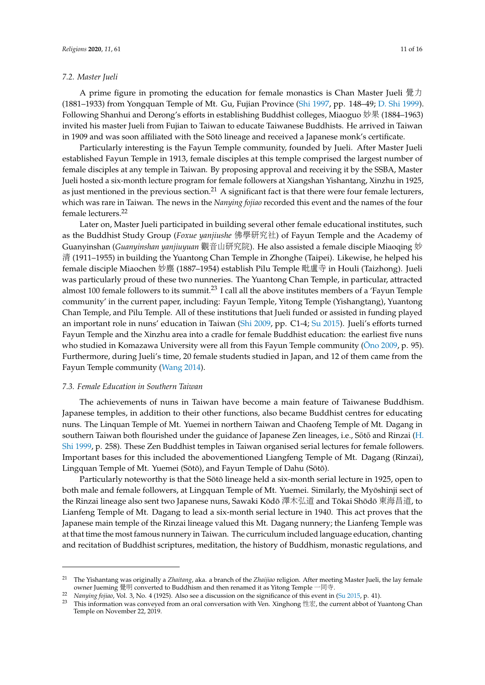#### *7.2. Master Jueli*

A prime figure in promoting the education for female monastics is Chan Master Jueli 覺力 (1881–1933) from Yongquan Temple of Mt. Gu, Fujian Province [\(Shi](#page-14-22) [1997,](#page-14-22) pp. 148–49; [D. Shi](#page-14-23) [1999\)](#page-14-23). Following Shanhui and Derong's efforts in establishing Buddhist colleges, Miaoguo 妙果 (1884–1963) invited his master Jueli from Fujian to Taiwan to educate Taiwanese Buddhists. He arrived in Taiwan in 1909 and was soon affiliated with the Sōtō lineage and received a Japanese monk's certificate.

Particularly interesting is the Fayun Temple community, founded by Jueli. After Master Jueli established Fayun Temple in 1913, female disciples at this temple comprised the largest number of female disciples at any temple in Taiwan. By proposing approval and receiving it by the SSBA, Master Jueli hosted a six-month lecture program for female followers at Xiangshan Yishantang, Xinzhu in 1925, as just mentioned in the previous section.<sup>21</sup> A significant fact is that there were four female lecturers, which was rare in Taiwan. The news in the *Nanying fojiao* recorded this event and the names of the four female lecturers.<sup>22</sup>

Later on, Master Jueli participated in building several other female educational institutes, such as the Buddhist Study Group (*Foxue yanjiushe* 佛學研究社) of Fayun Temple and the Academy of Guanyinshan (*Guanyinshan yanjiuyuan* 觀音山研究院). He also assisted a female disciple Miaoqing 妙 清 (1911–1955) in building the Yuantong Chan Temple in Zhonghe (Taipei). Likewise, he helped his female disciple Miaochen 妙<sup>塵</sup> (1887–1954) establish Pilu Temple 毗盧<sup>寺</sup> in Houli (Taizhong). Jueli was particularly proud of these two nunneries. The Yuantong Chan Temple, in particular, attracted almost 100 female followers to its summit.<sup>23</sup> I call all the above institutes members of a 'Fayun Temple community' in the current paper, including: Fayun Temple, Yitong Temple (Yishangtang), Yuantong Chan Temple, and Pilu Temple. All of these institutions that Jueli funded or assisted in funding played an important role in nuns' education in Taiwan [\(Shi](#page-14-24) [2009,](#page-14-24) pp. C1-4; [Su](#page-14-25) [2015\)](#page-14-25). Jueli's efforts turned Fayun Temple and the Xinzhu area into a cradle for female Buddhist education: the earliest five nuns who studied in Komazawa University were all from this Fayun Temple community ( $\bar{O}$  no [2009,](#page-14-15) p. 95). Furthermore, during Jueli's time, 20 female students studied in Japan, and 12 of them came from the Fayun Temple community [\(Wang](#page-14-26) [2014\)](#page-14-26).

## *7.3. Female Education in Southern Taiwan*

The achievements of nuns in Taiwan have become a main feature of Taiwanese Buddhism. Japanese temples, in addition to their other functions, also became Buddhist centres for educating nuns. The Linquan Temple of Mt. Yuemei in northern Taiwan and Chaofeng Temple of Mt. Dagang in southern Taiwan both flourished under the guidance of Japanese Zen lineages, i.e., Sōtō and Rinzai ([H.](#page-14-4) [Shi](#page-14-4) [1999,](#page-14-4) p. 258). These Zen Buddhist temples in Taiwan organised serial lectures for female followers. Important bases for this included the abovementioned Liangfeng Temple of Mt. Dagang (Rinzai), Lingquan Temple of Mt. Yuemei (Sōtō), and Fayun Temple of Dahu (Sōtō).

Particularly noteworthy is that the Sōtō lineage held a six-month serial lecture in 1925, open to both male and female followers, at Lingquan Temple of Mt. Yuemei. Similarly, the Myōshinji sect of the Rinzai lineage also sent two Japanese nuns, Sawaki Kōdō 澤木弘道 and Tōkai Shōdō 東海昌道, to Lianfeng Temple of Mt. Dagang to lead a six-month serial lecture in 1940. This act proves that the Japanese main temple of the Rinzai lineage valued this Mt. Dagang nunnery; the Lianfeng Temple was at that time the most famous nunnery in Taiwan. The curriculum included language education, chanting and recitation of Buddhist scriptures, meditation, the history of Buddhism, monastic regulations, and

<sup>21</sup> The Yishantang was originally a *Zhaitang*, aka. a branch of the *Zhaijiao* religion. After meeting Master Jueli, the lay female owner Jueming 覺<sup>明</sup> converted to Buddhism and then renamed it as Yitong Temple <sup>一</sup>同寺.

<sup>22</sup> *Nanying fojiao*, Vol. 3, No. 4 (1925). Also see a discussion on the significance of this event in [\(Su](#page-14-25) [2015,](#page-14-25) p. 41).

This information was conveyed from an oral conversation with Ven. Xinghong 性宏, the current abbot of Yuantong Chan Temple on November 22, 2019.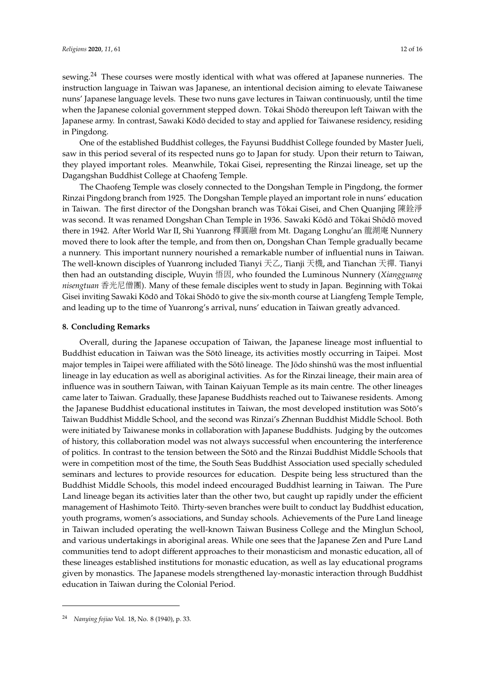sewing.<sup>24</sup> These courses were mostly identical with what was offered at Japanese nunneries. The instruction language in Taiwan was Japanese, an intentional decision aiming to elevate Taiwanese nuns' Japanese language levels. These two nuns gave lectures in Taiwan continuously, until the time when the Japanese colonial government stepped down. Tōkai Shōdō thereupon left Taiwan with the Japanese army. In contrast, Sawaki Kōdō decided to stay and applied for Taiwanese residency, residing in Pingdong.

One of the established Buddhist colleges, the Fayunsi Buddhist College founded by Master Jueli, saw in this period several of its respected nuns go to Japan for study. Upon their return to Taiwan, they played important roles. Meanwhile, Tokai Gisei, representing the Rinzai lineage, set up the ¯ Dagangshan Buddhist College at Chaofeng Temple.

The Chaofeng Temple was closely connected to the Dongshan Temple in Pingdong, the former Rinzai Pingdong branch from 1925. The Dongshan Temple played an important role in nuns' education in Taiwan. The first director of the Dongshan branch was Tōkai Gisei, and Chen Quanjing 陳銓淨 was second. It was renamed Dongshan Chan Temple in 1936. Sawaki Kodō and Tokai Shodō moved there in 1942. After World War II, Shi Yuanrong <sup>釋</sup>圓<sup>融</sup> from Mt. Dagang Longhu'an 龍湖<sup>庵</sup> Nunnery moved there to look after the temple, and from then on, Dongshan Chan Temple gradually became a nunnery. This important nunnery nourished a remarkable number of influential nuns in Taiwan. The well-known disciples of Yuanrong included Tianyi 天乙, Tianji 天機, and Tianchan 天禪. Tianyi then had an outstanding disciple, Wuyin 悟因, who founded the Luminous Nunnery (*Xiangguang nisengtuan* 香光尼僧團). Many of these female disciples went to study in Japan. Beginning with Tokai ¯ Gisei inviting Sawaki Kōdō and Tōkai Shōdō to give the six-month course at Liangfeng Temple Temple, and leading up to the time of Yuanrong's arrival, nuns' education in Taiwan greatly advanced.

#### **8. Concluding Remarks**

Overall, during the Japanese occupation of Taiwan, the Japanese lineage most influential to Buddhist education in Taiwan was the Sōtō lineage, its activities mostly occurring in Taipei. Most major temples in Taipei were affiliated with the Sōtō lineage. The Jōdo shinshū was the most influential lineage in lay education as well as aboriginal activities. As for the Rinzai lineage, their main area of influence was in southern Taiwan, with Tainan Kaiyuan Temple as its main centre. The other lineages came later to Taiwan. Gradually, these Japanese Buddhists reached out to Taiwanese residents. Among the Japanese Buddhist educational institutes in Taiwan, the most developed institution was Sōtō's Taiwan Buddhist Middle School, and the second was Rinzai's Zhennan Buddhist Middle School. Both were initiated by Taiwanese monks in collaboration with Japanese Buddhists. Judging by the outcomes of history, this collaboration model was not always successful when encountering the interference of politics. In contrast to the tension between the Sotō and the Rinzai Buddhist Middle Schools that were in competition most of the time, the South Seas Buddhist Association used specially scheduled seminars and lectures to provide resources for education. Despite being less structured than the Buddhist Middle Schools, this model indeed encouraged Buddhist learning in Taiwan. The Pure Land lineage began its activities later than the other two, but caught up rapidly under the efficient management of Hashimoto Teitō. Thirty-seven branches were built to conduct lay Buddhist education, youth programs, women's associations, and Sunday schools. Achievements of the Pure Land lineage in Taiwan included operating the well-known Taiwan Business College and the Minglun School, and various undertakings in aboriginal areas. While one sees that the Japanese Zen and Pure Land communities tend to adopt different approaches to their monasticism and monastic education, all of these lineages established institutions for monastic education, as well as lay educational programs given by monastics. The Japanese models strengthened lay-monastic interaction through Buddhist education in Taiwan during the Colonial Period.

<sup>24</sup> *Nanying fojiao* Vol. 18, No. 8 (1940), p. 33.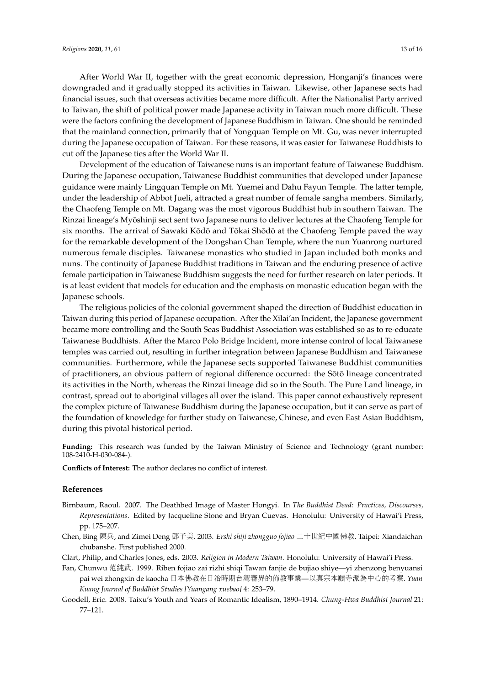After World War II, together with the great economic depression, Honganji's finances were downgraded and it gradually stopped its activities in Taiwan. Likewise, other Japanese sects had financial issues, such that overseas activities became more difficult. After the Nationalist Party arrived to Taiwan, the shift of political power made Japanese activity in Taiwan much more difficult. These were the factors confining the development of Japanese Buddhism in Taiwan. One should be reminded that the mainland connection, primarily that of Yongquan Temple on Mt. Gu, was never interrupted during the Japanese occupation of Taiwan. For these reasons, it was easier for Taiwanese Buddhists to cut off the Japanese ties after the World War II.

Development of the education of Taiwanese nuns is an important feature of Taiwanese Buddhism. During the Japanese occupation, Taiwanese Buddhist communities that developed under Japanese guidance were mainly Lingquan Temple on Mt. Yuemei and Dahu Fayun Temple. The latter temple, under the leadership of Abbot Jueli, attracted a great number of female sangha members. Similarly, the Chaofeng Temple on Mt. Dagang was the most vigorous Buddhist hub in southern Taiwan. The Rinzai lineage's Myoshinji sect sent two Japanese nuns to deliver lectures at the Chaofeng Temple for ¯ six months. The arrival of Sawaki Kōdō and Tōkai Shōdō at the Chaofeng Temple paved the way for the remarkable development of the Dongshan Chan Temple, where the nun Yuanrong nurtured numerous female disciples. Taiwanese monastics who studied in Japan included both monks and nuns. The continuity of Japanese Buddhist traditions in Taiwan and the enduring presence of active female participation in Taiwanese Buddhism suggests the need for further research on later periods. It is at least evident that models for education and the emphasis on monastic education began with the Japanese schools.

The religious policies of the colonial government shaped the direction of Buddhist education in Taiwan during this period of Japanese occupation. After the Xilai'an Incident, the Japanese government became more controlling and the South Seas Buddhist Association was established so as to re-educate Taiwanese Buddhists. After the Marco Polo Bridge Incident, more intense control of local Taiwanese temples was carried out, resulting in further integration between Japanese Buddhism and Taiwanese communities. Furthermore, while the Japanese sects supported Taiwanese Buddhist communities of practitioners, an obvious pattern of regional difference occurred: the Sotō lineage concentrated its activities in the North, whereas the Rinzai lineage did so in the South. The Pure Land lineage, in contrast, spread out to aboriginal villages all over the island. This paper cannot exhaustively represent the complex picture of Taiwanese Buddhism during the Japanese occupation, but it can serve as part of the foundation of knowledge for further study on Taiwanese, Chinese, and even East Asian Buddhism, during this pivotal historical period.

**Funding:** This research was funded by the Taiwan Ministry of Science and Technology (grant number: 108-2410-H-030-084-).

**Conflicts of Interest:** The author declares no conflict of interest.

#### **References**

- <span id="page-12-1"></span>Birnbaum, Raoul. 2007. The Deathbed Image of Master Hongyi. In *The Buddhist Dead: Practices, Discourses, Representations*. Edited by Jacqueline Stone and Bryan Cuevas. Honolulu: University of Hawai'i Press, pp. 175–207.
- <span id="page-12-2"></span>Chen, Bing <sup>陳</sup>兵, and Zimei Deng <sup>鄧</sup>子美. 2003. *Ershi shiji zhongguo fojiao* <sup>二</sup>十世紀中國佛教. Taipei: Xiandaichan chubanshe. First published 2000.
- <span id="page-12-4"></span><span id="page-12-3"></span>Clart, Philip, and Charles Jones, eds. 2003. *Religion in Modern Taiwan*. Honolulu: University of Hawai'i Press.
- Fan, Chunwu <sup>范</sup>純武. 1999. Riben fojiao zai rizhi shiqi Tawan fanjie de bujiao shiye—yi zhenzong benyuansi pai wei zhongxin de kaocha <sup>日</sup>本佛教在日治時期台灣蕃界的佈教事業—以真宗本願寺派為中心的考察. *Yuan Kuang Journal of Buddhist Studies [Yuangang xuebao]* 4: 253–79.
- <span id="page-12-0"></span>Goodell, Eric. 2008. Taixu's Youth and Years of Romantic Idealism, 1890–1914. *Chung-Hwa Buddhist Journal* 21: 77–121.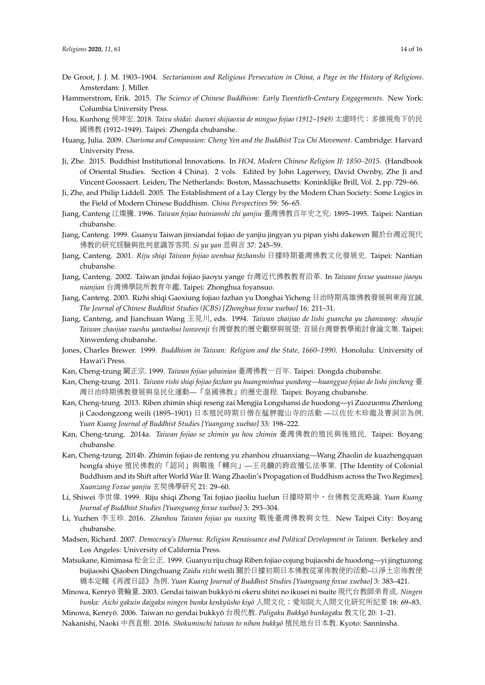- <span id="page-13-15"></span>De Groot, J. J. M. 1903–1904. *Sectarianism and Religious Persecution in China, a Page in the History of Religions*. Amsterdam: J. Miller.
- <span id="page-13-1"></span>Hammerstrom, Erik. 2015. *The Science of Chinese Buddhism: Early Twentieth-Century Engagements*. New York: Columbia University Press.
- <span id="page-13-0"></span>Hou, Kunhong 侯坤宏. 2018. *Taixu shidai: duowei shijiaoxia de minguo fojiao (1912–1949)* 太虛時代:多維視角下的<sup>民</sup> <sup>國</sup>佛<sup>教</sup> (1912–1949). Taipei: Zhengda chubanshe.
- <span id="page-13-13"></span>Huang, Julia. 2009. *Charisma and Compassion: Cheng Yen and the Buddhist Tzu Chi Movement*. Cambridge: Harvard University Press.
- <span id="page-13-2"></span>Ji, Zhe. 2015. Buddhist Institutional Innovations. In *HO4, Modern Chinese Religion II: 1850–2015*. (Handbook of Oriental Studies. Section 4 China). 2 vols. Edited by John Lagerwey, David Ownby, Zhe Ji and Vincent Goossaert. Leiden, The Netherlands: Boston, Massachusetts: Koninklijke Brill, Vol. 2, pp. 729–66.
- <span id="page-13-3"></span>Ji, Zhe, and Philip Liddell. 2005. The Establishment of a Lay Clergy by the Modern Chan Society: Some Logics in the Field of Modern Chinese Buddhism. *China Perspectives* 59: 56–65.
- <span id="page-13-18"></span>Jiang, Canteng <sup>江</sup>燦騰. 1996. *Taiwan fojiao bainianshi zhi yanjiu* 臺灣佛教百年史之究: 1895–1995. Taipei: Nantian chubanshe.
- <span id="page-13-23"></span>Jiang, Canteng. 1999. Guanyu Taiwan jinxiandai fojiao de yanjiu jingyan yu pipan yishi dakewen <sup>關</sup>於台灣近現<sup>代</sup> 佛教的研究經驗與批判意識答客問. *Si yu yan* <sup>思</sup>與<sup>言</sup> 37: 245–59.
- <span id="page-13-4"></span>Jiang, Canteng. 2001. *Riju shiqi Taiwan fojiao wenhua fazhanshi* <sup>日</sup>據時期臺灣佛教文化發展史. Taipei: Nantian chubanshe.
- <span id="page-13-19"></span>Jiang, Canteng. 2002. Taiwan jindai fojiao jiaoyu yange 台灣近代佛教教育沿革. In *Taiwan foxue yuansuo jiaoyu nianjian* 台灣佛學院所教育年鑑. Taipei: Zhonghua foyansuo.
- <span id="page-13-20"></span>Jiang, Canteng. 2003. Rizhi shiqi Gaoxiung fojiao fazhan yu Donghai Yicheng <sup>日</sup>治時期高雄佛教發展與東海宜誠. *The Journal of Chinese Buddhist Studies (JCBS) [Zhonghua foxue xuebao]* 16: 211–31.
- <span id="page-13-16"></span>Jiang, Canteng, and Jianchuan Wang <sup>王</sup>見川, eds. 1994. *Taiwan zhaijiao de lishi guancha yu zhanwang: shoujie Taiwan zhaojiao xueshu yantaohui lunwenji* 台灣齋教的歷史觀察與展望: <sup>首</sup>屆台灣齋教學術討會論文集. Taipei: Xinwenfeng chubanshe.
- <span id="page-13-5"></span>Jones, Charles Brewer. 1999. *Buddhism in Taiwan: Religion and the State, 1660–1990*. Honolulu: University of Hawai'i Press.
- <span id="page-13-6"></span>Kan, Cheng-tzung <sup>闞</sup>正宗. 1999. *Taiwan fojiao yibainian* 臺灣佛教一百年. Taipei: Dongda chubanshe.
- <span id="page-13-22"></span>Kan, Cheng-tzung. 2011. *Taiwan rishi shiqi fojiao fazhan yu huangminhua yundong—huangguo fojiao de lishi jincheng* 臺 <sup>灣</sup>日治時期佛教發展與皇民化運動—「皇國佛教」的歷史進程. Taipei: Boyang chubanshe.
- <span id="page-13-17"></span>Kan, Cheng-tzung. 2013. Riben zhimin shiqi reseng zai Mengjia Longshansi de huodong—yi Zuozuomu Zhenlong ji Caodongzong weili (1895–1901) <sup>日</sup>本殖民時期日僧在艋舺龍山寺的活<sup>動</sup> —以佐佐木珍龍及曹洞宗為例. *Yuan Kuang Journal of Buddhist Studies [Yuangang xuebao]* 33: 198–222.
- <span id="page-13-7"></span>Kan, Cheng-tzung. 2014a. *Taiwan fojiao se zhimin yu hou zhimin* 臺灣佛教的殖民與後殖民. Taipei: Boyang chubanshe.
- <span id="page-13-24"></span>Kan, Cheng-tzung. 2014b. Zhimin fojiao de rentong yu zhanhou zhuanxiang—Wang Zhaolin de kuazhengquan hongfa shiye 殖民佛教的「認同」與戰後「轉向」—王兆麟的跨政權弘法事業. [The Identity of Colonial Buddhism and its Shift after World War II: Wang Zhaolin's Propagation of Buddhism across the Two Regimes]. *Xuanzang Foxue yanjiu* <sup>玄</sup>奘佛學研<sup>究</sup> 21: 29–60.
- <span id="page-13-8"></span>Li, Shiwei 李世偉. 1999. Riju shiqi Zhong Tai fojiao jiaoliu luelun <sup>日</sup>據時期中、台佛教交流略論. *Yuan Kuang Journal of Buddhist Studies [Yuanguang foxue xuebao]* 3: 293–304.
- <span id="page-13-9"></span>Li, Yuzhen 李玉珍. 2016. *Zhanhou Taiwan fojiao yu nuxing* 戰後臺灣佛教與女性. New Taipei City: Boyang chubanshe.
- <span id="page-13-14"></span>Madsen, Richard. 2007. *Democracy's Dharma: Religion Renaissance and Political Development in Taiwan*. Berkeley and Los Angeles: University of California Press.
- <span id="page-13-21"></span>Matsukane, Kimimasa 松金公正. 1999. Guanyu riju chuqi Riben fojiao cojung bujiaoshi de huodong—yi jingtuzong bujiaoshi Qiaoben Dingchuang *Zaidu rizhi* weili <sup>關</sup>於日據初期日本佛教從軍佈教使的活動–以淨土宗佈教使 <sup>橋</sup>本定幢《再渡日誌》為例. *Yuan Kuang Journal of Buddhist Studies [Yuanguang foxue xuebao]* 3: 383–421.

<span id="page-13-10"></span>Minowa, Kenryo¯ <sup>蓑</sup>輪量. 2003. Gendai taiwan bukkyo ni okeru shitei no ikusei ni tsuite ¯ <sup>現</sup>代台教師弟育成. *Ningen bunka: Aichi gakuin daigaku ningen bunka kenkyūsho kiyō* 人間文化: 愛知院大人間文化研究所紀要 18: 69–83.

<span id="page-13-12"></span><span id="page-13-11"></span>Minowa, Kenryō. 2006. Taiwan no gendai bukkyō 台現代教. Paligaku Bukkyō bunkagaku 教文化 20: 1-21.

Nakanishi, Naoki <sup>中</sup>西直樹. 2016. *Shokuminchi taiwan to nihon bukkyo¯* <sup>植</sup>民地台日本教. Kyoto: Sanninsha.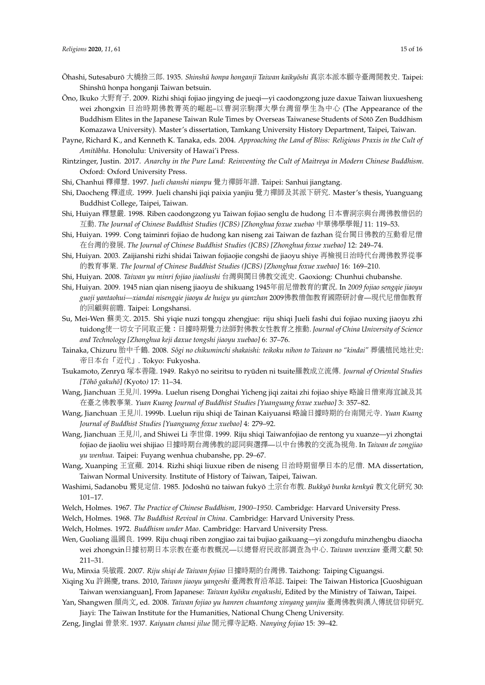- <span id="page-14-17"></span>Öhashi, Sutesaburō 大橋捨三郎. 1935. *Shinshū honpa honganji Taiwan kaikyōshi* 真宗本派本願寺臺灣開教史. Taipei: Shinshū honpa honganji Taiwan betsuin.
- <span id="page-14-15"></span>Ono, Ikuko ¯ 大野育子. 2009. Rizhi shiqi fojiao jingying de jueqi—yi caodongzong juze daxue Taiwan liuxuesheng wei zhongxin <sup>日</sup>治時期佛教菁英的崛起–以曹洞宗駒澤大學台灣留學生為中心 (The Appearance of the Buddhism Elites in the Japanese Taiwan Rule Times by Overseas Taiwanese Students of Sōtō Zen Buddhism Komazawa University). Master's dissertation, Tamkang University History Department, Taipei, Taiwan.
- <span id="page-14-11"></span>Payne, Richard K., and Kenneth K. Tanaka, eds. 2004. *Approaching the Land of Bliss: Religious Praxis in the Cult of* Amitābha. Honolulu: University of Hawai'i Press.
- <span id="page-14-3"></span>Rintzinger, Justin. 2017. *Anarchy in the Pure Land: Reinventing the Cult of Maitreya in Modern Chinese Buddhism*. Oxford: Oxford University Press.
- <span id="page-14-22"></span>Shi, Chanhui <sup>釋</sup>禪慧. 1997. *Jueli chanshi nianpu* 覺力禪師年譜. Taipei: Sanhui jiangtang.
- <span id="page-14-23"></span>Shi, Daocheng <sup>釋</sup>道成. 1999. Jueli chanshi jiqi paixia yanjiu 覺力禪師及其派下研究. Master's thesis, Yuanguang Buddhist College, Taipei, Taiwan.
- <span id="page-14-13"></span>Shi, Huiyan <sup>釋</sup>慧嚴. 1998. Riben caodongzong yu Taiwan fojiao senglu de hudong <sup>日</sup>本曹洞宗與台灣佛教僧侶的 <sup>互</sup>動. *The Journal of Chinese Buddhist Studies (JCBS) [Zhonghua foxue xuebao* <sup>中</sup>華佛學學報*]* 11: 119–53.
- <span id="page-14-4"></span>Shi, Huiyan. 1999. Cong taiminri fojiao de hudong kan niseng zai Taiwan de fazhan 從台閩日佛教的互動看尼<sup>僧</sup> <sup>在</sup>台灣的發展. *The Journal of Chinese Buddhist Studies (JCBS) [Zhonghua foxue xuebao]* 12: 249–74.
- <span id="page-14-19"></span>Shi, Huiyan. 2003. Zaijianshi rizhi shidai Taiwan fojiaojie congshi de jiaoyu shiye <sup>再</sup>檢視日治時代台灣佛教界從<sup>事</sup> 的教育事業. *The Journal of Chinese Buddhist Studies (JCBS) [Zhonghua foxue xuebao]* 16: 169–210.
- <span id="page-14-5"></span>Shi, Huiyan. 2008. *Taiwan yu minri fojiao jiaoliushi* 台灣與閩日佛教交流史. Gaoxiong: Chunhui chubanshe.
- <span id="page-14-24"></span>Shi, Huiyan. 2009. 1945 nian qian niseng jiaoyu de shikuang 1945年前尼僧教育的實況. In *2009 fojiao sengqie jiaoyu guoji yantaohui—xiandai nisengqie jiaoyu de huigu yu qianzhan* <sup>2009</sup>佛教僧伽教育國際研討會—現代尼僧伽教育 的回顧與前瞻. Taipei: Longshansi.
- <span id="page-14-25"></span>Su, Mei-Wen 蘇美文. 2015. Shi yiqie nuzi tongqu zhengjue: riju shiqi Jueli fashi dui fojiao nuxing jiaoyu zhi tuidong使一切女子同取正覺:日據時期覺力法師對佛教女性教育之推動. *Journal of China University of Science and Technology [Zhonghua keji daxue tongshi jiaoyu xuebao]* 6: 37–76.
- <span id="page-14-6"></span>Tainaka, Chizuru 胎中千鶴. 2008. *Sōgi no chikuminchi shakaishi: teikoku nihon to Taiwan no "kindai"* 葬儀植民地社史: <sup>帝</sup>日本台「近代」. Tokyo: Fukyosha.
- <span id="page-14-12"></span>Tsukamoto, Zenryū 塚本善隆. 1949. Rakyō no seiritsu to ryūden ni tsuite羅教成立流傳. *Journal of Oriental Studies [Toh¯ o gakuh ¯ o] ( ¯* Kyoto*)* 17: 11–34.
- <span id="page-14-7"></span>Wang, Jianchuan <sup>王</sup>見川. 1999a. Luelun riseng Donghai Yicheng jiqi zaitai zhi fojiao shiye 略論日僧東海宜誠及<sup>其</sup> <sup>在</sup>臺之佛教事業. *Yuan Kuang Journal of Buddhist Studies [Yuanguang foxue xuebao]* 3: 357–82.
- <span id="page-14-16"></span>Wang, Jianchuan <sup>王</sup>見川. 1999b. Luelun riju shiqi de Tainan Kaiyuansi 略論日據時期的台南開元寺. *Yuan Kuang Journal of Buddhist Studies [Yuanguang foxue xuebao]* 4: 279–92.
- <span id="page-14-20"></span>Wang, Jianchuan 王見川, and Shiwei Li 李世偉. 1999. Riju shiqi Taiwanfojiao de rentong yu xuanze—yi zhongtai fojiao de jiaoliu wei shijiao <sup>日</sup>據時期台灣佛教的認同與選擇—以中台佛教的交流為視角. In *Taiwan de zongjiao yu wenhua*. Taipei: Fuyang wenhua chubanshe, pp. 29–67.
- <span id="page-14-26"></span>Wang, Xuanping <sup>王</sup>宣蘋. 2014. Rizhi shiqi liuxue riben de niseng <sup>日</sup>治時期留學日本的尼僧. MA dissertation, Taiwan Normal University. Institute of History of Taiwan, Taipei, Taiwan.
- <span id="page-14-8"></span>Washimi, Sadanobu 鷲見定信. 1985. Jōdoshū no taiwan fukyō 土宗台布教. *Bukkyō bunka kenkyū* 教文化研究 30: 101–17.
- <span id="page-14-1"></span><span id="page-14-0"></span>Welch, Holmes. 1967. *The Practice of Chinese Buddhism, 1900–1950*. Cambridge: Harvard University Press.
- <span id="page-14-2"></span>Welch, Holmes. 1968. *The Buddhist Revival in China*. Cambridge: Harvard University Press.
- Welch, Holmes. 1972. *Buddhism under Mao*. Cambridge: Harvard University Press.
- <span id="page-14-9"></span>Wen, Guoliang 溫國良. 1999. Riju chuqi riben zongjiao zai tai bujiao gaikuang—yi zongdufu minzhengbu diaocha wei zhongxin日據初期日本宗教在臺布教概況—以總督府民政部調查為中心. *Taiwan wenxian* 臺灣文<sup>獻</sup> 50: 211–31.
- <span id="page-14-21"></span>Wu, Minxia <sup>吳</sup>敏霞. 2007. *Riju shiqi de Taiwan fojiao* <sup>日</sup>據時期的台灣佛. Taizhong: Taiping Ciguangsi.
- <span id="page-14-18"></span>Xiqing Xu <sup>許</sup>錫慶, trans. 2010, *Taiwan jiaoyu yangeshi* 臺灣教育沿革誌. Taipei: The Taiwan Historica [Guoshiguan Taiwan wenxianguan], From Japanese: *Taiwan kyōiku engakushi*, Edited by the Ministry of Taiwan, Taipei.
- <span id="page-14-10"></span>Yan, Shangwen <sup>顏</sup>尚文, ed. 2008. *Taiwan fojiao yu hanren chuantong xinyang yanjiu* 臺灣佛教與漢人傳統信仰研究. Jiayi: The Taiwan Institute for the Humanities, National Chung Cheng University.
- <span id="page-14-14"></span>Zeng, Jinglai 曾景來. 1937. *Kaiyuan chansi jilue* <sup>開</sup>元禪寺記略. *Nanying fojiao* 15: 39–42.